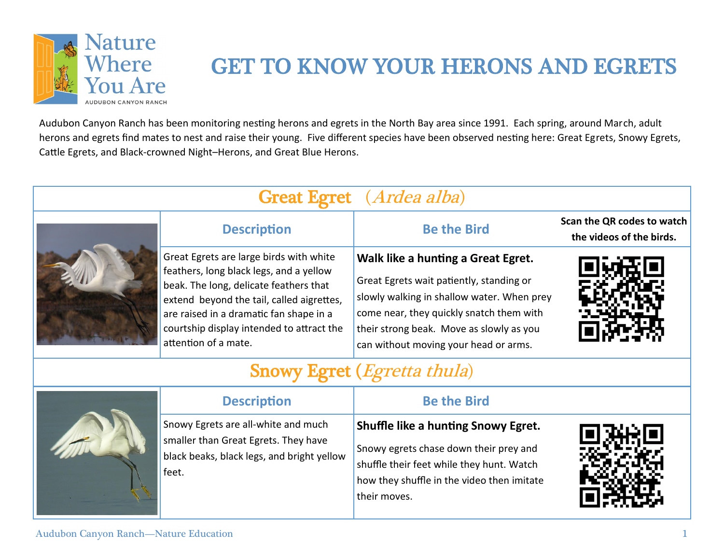

# GET TO KNOW YOUR HERONS AND EGRETS

Audubon Canyon Ranch has been monitoring nesting herons and egrets in the North Bay area since 1991. Each spring, around March, adult herons and egrets find mates to nest and raise their young. Five different species have been observed nesting here: Great Egrets, Snowy Egrets, Cattle Egrets, and Black-crowned Night–Herons, and Great Blue Herons.

| <b>Great Egret</b> ( <i>Ardea alba</i> ) |                                                                                                                                                                                                                                                                                           |                                                                                                                                                                                                                                                               |                                                        |  |  |
|------------------------------------------|-------------------------------------------------------------------------------------------------------------------------------------------------------------------------------------------------------------------------------------------------------------------------------------------|---------------------------------------------------------------------------------------------------------------------------------------------------------------------------------------------------------------------------------------------------------------|--------------------------------------------------------|--|--|
|                                          | <b>Description</b>                                                                                                                                                                                                                                                                        | <b>Be the Bird</b>                                                                                                                                                                                                                                            | Scan the QR codes to watch<br>the videos of the birds. |  |  |
|                                          | Great Egrets are large birds with white<br>feathers, long black legs, and a yellow<br>beak. The long, delicate feathers that<br>extend beyond the tail, called aigrettes,<br>are raised in a dramatic fan shape in a<br>courtship display intended to attract the<br>attention of a mate. | Walk like a hunting a Great Egret.<br>Great Egrets wait patiently, standing or<br>slowly walking in shallow water. When prey<br>come near, they quickly snatch them with<br>their strong beak. Move as slowly as you<br>can without moving your head or arms. |                                                        |  |  |
| <b>Snowy Egret (Egretta thula)</b>       |                                                                                                                                                                                                                                                                                           |                                                                                                                                                                                                                                                               |                                                        |  |  |
|                                          | <b>Description</b>                                                                                                                                                                                                                                                                        | <b>Be the Bird</b>                                                                                                                                                                                                                                            |                                                        |  |  |
|                                          | Snowy Egrets are all-white and much<br>smaller than Great Egrets. They have<br>black beaks, black legs, and bright yellow<br>feet.                                                                                                                                                        | <b>Shuffle like a hunting Snowy Egret.</b><br>Snowy egrets chase down their prey and<br>shuffle their feet while they hunt. Watch<br>how they shuffle in the video then imitate                                                                               |                                                        |  |  |

their moves.